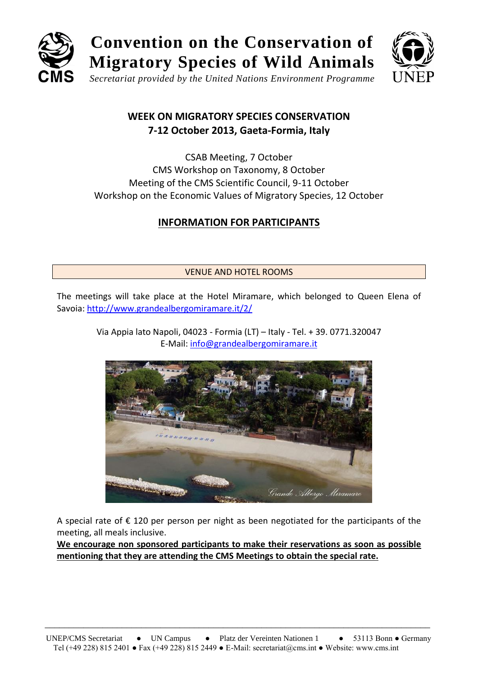

# **Convention on the Conservation of Migratory Species of Wild Animals**



*Secretariat provided by the United Nations Environment Programme*

## **WEEK ON MIGRATORY SPECIES CONSERVATION 7-12 October 2013, Gaeta-Formia, Italy**

CSAB Meeting, 7 October CMS Workshop on Taxonomy, 8 October Meeting of the CMS Scientific Council, 9-11 October Workshop on the Economic Values of Migratory Species, 12 October

## **INFORMATION FOR PARTICIPANTS**

### VENUE AND HOTEL ROOMS

The meetings will take place at the Hotel Miramare, which belonged to Queen Elena of Savoia:<http://www.grandealbergomiramare.it/2/>

> Via Appia lato Napoli, 04023 - Formia (LT) – Italy - Tel. + 39. 0771.320047 E-Mail: [info@grandealbergomiramare.it](mailto:info@grandealbergomiramare.it)



A special rate of  $\epsilon$  120 per person per night as been negotiated for the participants of the meeting, all meals inclusive.

**We encourage non sponsored participants to make their reservations as soon as possible mentioning that they are attending the CMS Meetings to obtain the special rate.**

\_\_\_\_\_\_\_\_\_\_\_\_\_\_\_\_\_\_\_\_\_\_\_\_\_\_\_\_\_\_\_\_\_\_\_\_\_\_\_\_\_\_\_\_\_\_\_\_\_\_\_\_\_\_\_\_\_\_\_\_\_\_\_\_\_\_\_\_\_\_\_\_\_\_\_\_\_\_\_\_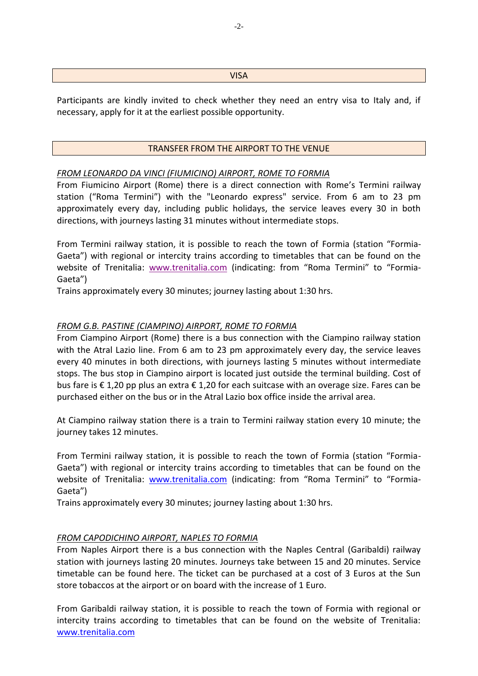#### **VISA**

Participants are kindly invited to check whether they need an entry visa to Italy and, if necessary, apply for it at the earliest possible opportunity.

#### TRANSFER FROM THE AIRPORT TO THE VENUE

#### *FROM LEONARDO DA VINCI (FIUMICINO) AIRPORT, ROME TO FORMIA*

From Fiumicino Airport (Rome) there is a direct connection with Rome's Termini railway station ("Roma Termini") with the "Leonardo express" service. From 6 am to 23 pm approximately every day, including public holidays, the service leaves every 30 in both directions, with journeys lasting 31 minutes without intermediate stops.

From Termini railway station, it is possible to reach the town of Formia (station "Formia-Gaeta") with regional or intercity trains according to timetables that can be found on the website of Trenitalia: [www.trenitalia.com](http://www.trenitalia.com/) (indicating: from "Roma Termini" to "Formia-Gaeta")

Trains approximately every 30 minutes; journey lasting about 1:30 hrs.

#### *FROM G.B. PASTINE (CIAMPINO) AIRPORT, ROME TO FORMIA*

From Ciampino Airport (Rome) there is a bus connection with the Ciampino railway station with the Atral Lazio line. From 6 am to 23 pm approximately every day, the service leaves every 40 minutes in both directions, with journeys lasting 5 minutes without intermediate stops. The bus stop in Ciampino airport is located just outside the terminal building. Cost of bus fare is € 1,20 pp plus an extra € 1,20 for each suitcase with an overage size. Fares can be purchased either on the bus or in the Atral Lazio box office inside the arrival area.

At Ciampino railway station there is a train to Termini railway station every 10 minute; the journey takes 12 minutes.

From Termini railway station, it is possible to reach the town of Formia (station "Formia-Gaeta") with regional or intercity trains according to timetables that can be found on the website of Trenitalia: [www.trenitalia.com](http://www.trenitalia.com/) (indicating: from "Roma Termini" to "Formia-Gaeta")

Trains approximately every 30 minutes; journey lasting about 1:30 hrs.

#### *FROM CAPODICHINO AIRPORT, NAPLES TO FORMIA*

From Naples Airport there is a bus connection with the Naples Central (Garibaldi) railway station with journeys lasting 20 minutes. Journeys take between 15 and 20 minutes. Service timetable can be found here. The ticket can be purchased at a cost of 3 Euros at the Sun store tobaccos at the airport or on board with the increase of 1 Euro.

From Garibaldi railway station, it is possible to reach the town of Formia with regional or intercity trains according to timetables that can be found on the website of Trenitalia: [www.trenitalia.com](http://www.trenitalia.com/)